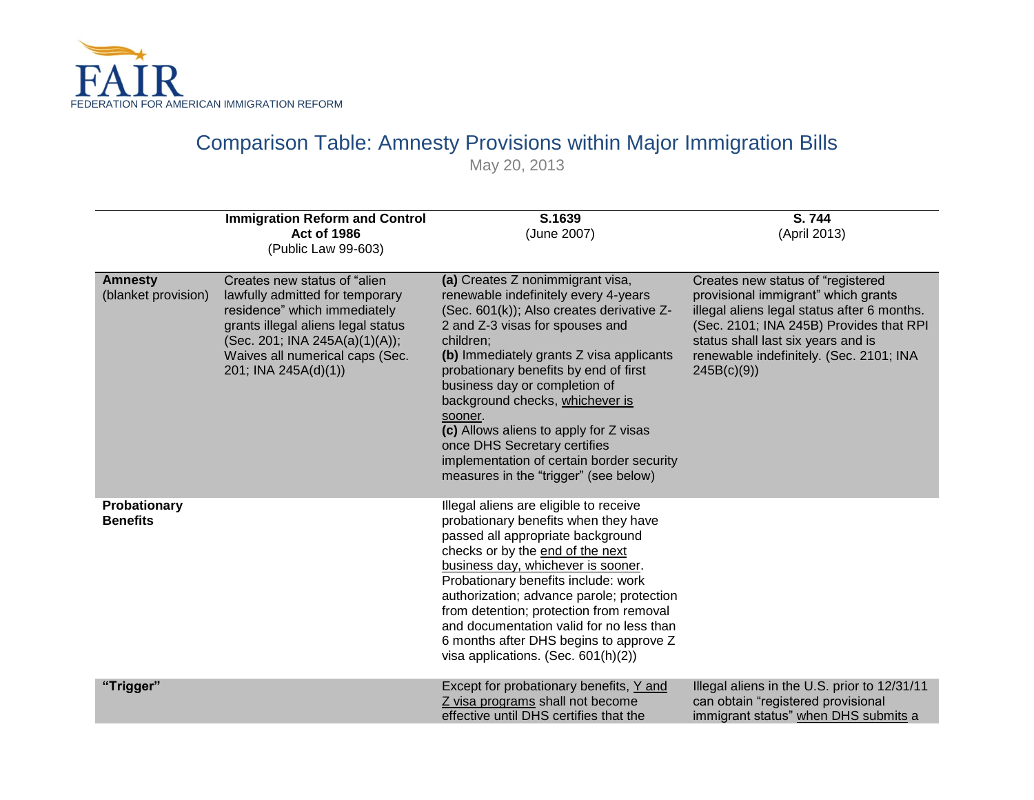

# Comparison Table: Amnesty Provisions within Major Immigration Bills

May 20, 2013

|                                       | <b>Immigration Reform and Control</b><br><b>Act of 1986</b><br>(Public Law 99-603)                                                                                                                                                 | S.1639<br>(June 2007)                                                                                                                                                                                                                                                                                                                                                                                                                                                                                     | S.744<br>(April 2013)                                                                                                                                                                                                                                             |
|---------------------------------------|------------------------------------------------------------------------------------------------------------------------------------------------------------------------------------------------------------------------------------|-----------------------------------------------------------------------------------------------------------------------------------------------------------------------------------------------------------------------------------------------------------------------------------------------------------------------------------------------------------------------------------------------------------------------------------------------------------------------------------------------------------|-------------------------------------------------------------------------------------------------------------------------------------------------------------------------------------------------------------------------------------------------------------------|
| <b>Amnesty</b><br>(blanket provision) | Creates new status of "alien<br>lawfully admitted for temporary<br>residence" which immediately<br>grants illegal aliens legal status<br>(Sec. 201; INA 245A(a)(1)(A));<br>Waives all numerical caps (Sec.<br>201; INA 245A(d)(1)) | (a) Creates Z nonimmigrant visa,<br>renewable indefinitely every 4-years<br>(Sec. 601(k)); Also creates derivative Z-<br>2 and Z-3 visas for spouses and<br>children;<br>(b) Immediately grants Z visa applicants<br>probationary benefits by end of first<br>business day or completion of<br>background checks, whichever is<br>sooner.<br>(c) Allows aliens to apply for Z visas<br>once DHS Secretary certifies<br>implementation of certain border security<br>measures in the "trigger" (see below) | Creates new status of "registered<br>provisional immigrant" which grants<br>illegal aliens legal status after 6 months.<br>(Sec. 2101; INA 245B) Provides that RPI<br>status shall last six years and is<br>renewable indefinitely. (Sec. 2101; INA<br>245B(c)(9) |
| Probationary<br><b>Benefits</b>       |                                                                                                                                                                                                                                    | Illegal aliens are eligible to receive<br>probationary benefits when they have<br>passed all appropriate background<br>checks or by the end of the next<br>business day, whichever is sooner.<br>Probationary benefits include: work<br>authorization; advance parole; protection<br>from detention; protection from removal<br>and documentation valid for no less than<br>6 months after DHS begins to approve Z<br>visa applications. (Sec. $601(h)(2)$ )                                              |                                                                                                                                                                                                                                                                   |
| "Trigger"                             |                                                                                                                                                                                                                                    | Except for probationary benefits, Y and<br>Z visa programs shall not become<br>effective until DHS certifies that the                                                                                                                                                                                                                                                                                                                                                                                     | Illegal aliens in the U.S. prior to 12/31/11<br>can obtain "registered provisional<br>immigrant status" when DHS submits a                                                                                                                                        |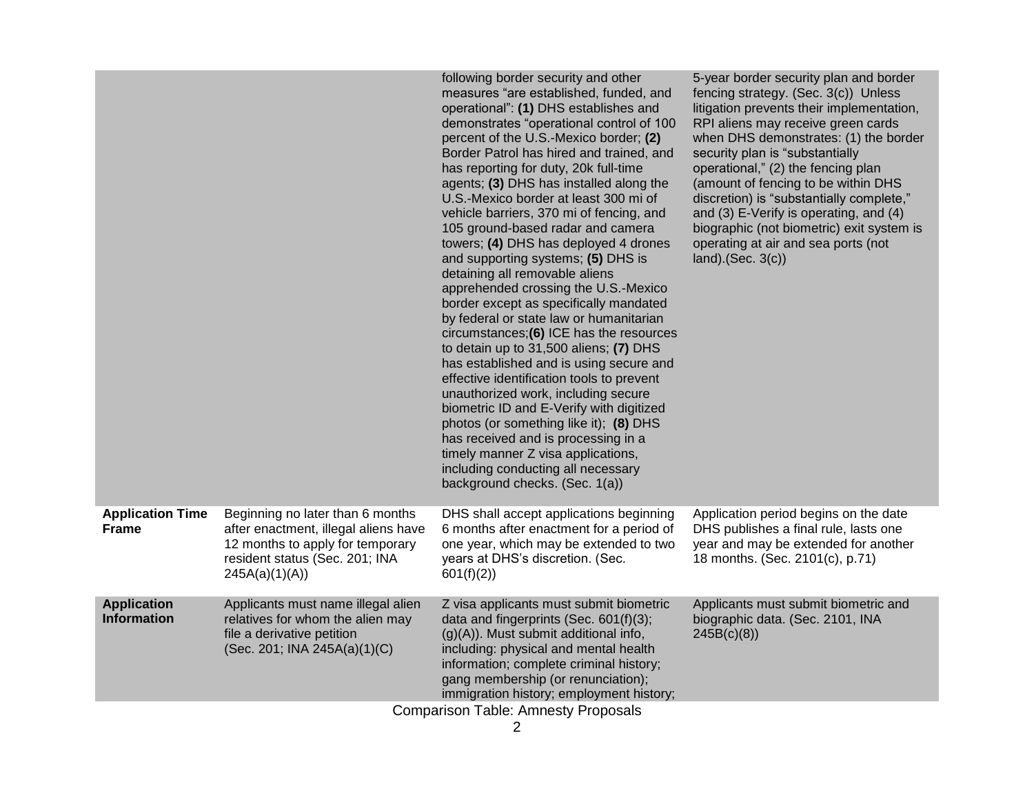|                                            |                                                                                                                                                                  | following border security and other<br>measures "are established, funded, and<br>operational": (1) DHS establishes and<br>demonstrates "operational control of 100<br>percent of the U.S.-Mexico border; (2)<br>Border Patrol has hired and trained, and<br>has reporting for duty, 20k full-time<br>agents; (3) DHS has installed along the<br>U.S.-Mexico border at least 300 mi of<br>vehicle barriers, 370 mi of fencing, and<br>105 ground-based radar and camera<br>towers; (4) DHS has deployed 4 drones<br>and supporting systems; (5) DHS is<br>detaining all removable aliens<br>apprehended crossing the U.S.-Mexico<br>border except as specifically mandated<br>by federal or state law or humanitarian<br>circumstances;(6) ICE has the resources<br>to detain up to 31,500 aliens; (7) DHS<br>has established and is using secure and<br>effective identification tools to prevent<br>unauthorized work, including secure<br>biometric ID and E-Verify with digitized<br>photos (or something like it); (8) DHS<br>has received and is processing in a<br>timely manner Z visa applications,<br>including conducting all necessary<br>background checks. (Sec. 1(a)) | 5-year border security plan and border<br>fencing strategy. (Sec. 3(c)) Unless<br>litigation prevents their implementation,<br>RPI aliens may receive green cards<br>when DHS demonstrates: (1) the border<br>security plan is "substantially<br>operational," (2) the fencing plan<br>(amount of fencing to be within DHS<br>discretion) is "substantially complete,"<br>and (3) E-Verify is operating, and (4)<br>biographic (not biometric) exit system is<br>operating at air and sea ports (not<br>$land).$ (Sec. $3(c)$ ) |  |  |
|--------------------------------------------|------------------------------------------------------------------------------------------------------------------------------------------------------------------|-------------------------------------------------------------------------------------------------------------------------------------------------------------------------------------------------------------------------------------------------------------------------------------------------------------------------------------------------------------------------------------------------------------------------------------------------------------------------------------------------------------------------------------------------------------------------------------------------------------------------------------------------------------------------------------------------------------------------------------------------------------------------------------------------------------------------------------------------------------------------------------------------------------------------------------------------------------------------------------------------------------------------------------------------------------------------------------------------------------------------------------------------------------------------------------|---------------------------------------------------------------------------------------------------------------------------------------------------------------------------------------------------------------------------------------------------------------------------------------------------------------------------------------------------------------------------------------------------------------------------------------------------------------------------------------------------------------------------------|--|--|
| <b>Application Time</b><br><b>Frame</b>    | Beginning no later than 6 months<br>after enactment, illegal aliens have<br>12 months to apply for temporary<br>resident status (Sec. 201; INA<br>245A(a)(1)(A)) | DHS shall accept applications beginning<br>6 months after enactment for a period of<br>one year, which may be extended to two<br>years at DHS's discretion. (Sec.<br>601(f)(2)                                                                                                                                                                                                                                                                                                                                                                                                                                                                                                                                                                                                                                                                                                                                                                                                                                                                                                                                                                                                      | Application period begins on the date<br>DHS publishes a final rule, lasts one<br>year and may be extended for another<br>18 months. (Sec. 2101(c), p.71)                                                                                                                                                                                                                                                                                                                                                                       |  |  |
| <b>Application</b><br><b>Information</b>   | Applicants must name illegal alien<br>relatives for whom the alien may<br>file a derivative petition<br>(Sec. 201; INA 245A(a)(1)(C)                             | Z visa applicants must submit biometric<br>data and fingerprints (Sec. 601(f)(3);<br>$(g)(A)$ ). Must submit additional info,<br>including: physical and mental health<br>information; complete criminal history;<br>gang membership (or renunciation);<br>immigration history; employment history;                                                                                                                                                                                                                                                                                                                                                                                                                                                                                                                                                                                                                                                                                                                                                                                                                                                                                 | Applicants must submit biometric and<br>biographic data. (Sec. 2101, INA<br>245B(c)(8)                                                                                                                                                                                                                                                                                                                                                                                                                                          |  |  |
| <b>Comparison Table: Amnesty Proposals</b> |                                                                                                                                                                  |                                                                                                                                                                                                                                                                                                                                                                                                                                                                                                                                                                                                                                                                                                                                                                                                                                                                                                                                                                                                                                                                                                                                                                                     |                                                                                                                                                                                                                                                                                                                                                                                                                                                                                                                                 |  |  |

2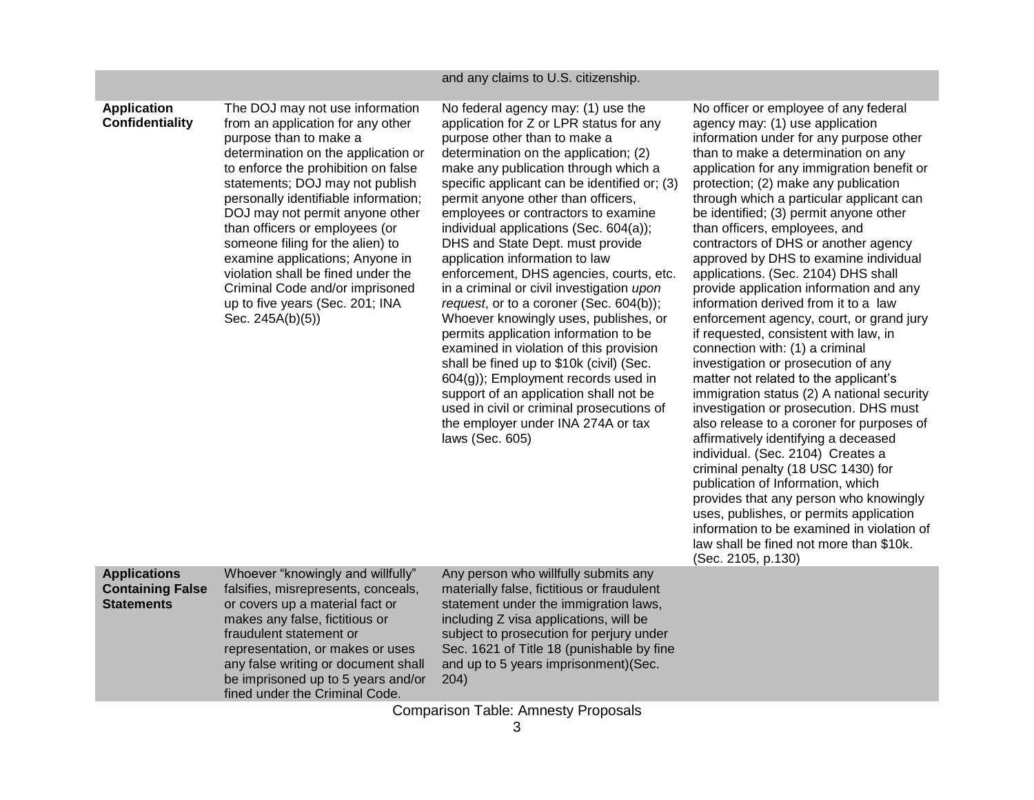### and any claims to U.S. citizenship.

## **Application Confidentiality**

The DOJ may not use information from an application for any other purpose than to make a determination on the application or to enforce the prohibition on false statements; DOJ may not publish personally identifiable information; DOJ may not permit anyone other than officers or employees (or someone filing for the alien) to examine applications; Anyone in violation shall be fined under the Criminal Code and/or imprisoned up to five years (Sec. 201; INA Sec. 245A(b)(5))

No federal agency may: (1) use the application for Z or LPR status for any purpose other than to make a determination on the application; (2) make any publication through which a specific applicant can be identified or; (3) permit anyone other than officers, employees or contractors to examine individual applications (Sec. 604(a)); DHS and State Dept. must provide application information to law enforcement, DHS agencies, courts, etc. in a criminal or civil investigation *upon request*, or to a coroner (Sec. 604(b)); Whoever knowingly uses, publishes, or permits application information to be examined in violation of this provision shall be fined up to \$10k (civil) (Sec. 604(g)); Employment records used in support of an application shall not be used in civil or criminal prosecutions of the employer under INA 274A or tax laws (Sec. 605)

No officer or employee of any federal agency may: (1) use application information under for any purpose other than to make a determination on any application for any immigration benefit or protection; (2) make any publication through which a particular applicant can be identified; (3) permit anyone other than officers, employees, and contractors of DHS or another agency approved by DHS to examine individual applications. (Sec. 2104) DHS shall provide application information and any information derived from it to a law enforcement agency, court, or grand jury if requested, consistent with law, in connection with: (1) a criminal investigation or prosecution of any matter not related to the applicant's immigration status (2) A national security investigation or prosecution. DHS must also release to a coroner for purposes of affirmatively identifying a deceased individual. (Sec. 2104) Creates a criminal penalty (18 USC 1430) for publication of Information, which provides that any person who knowingly uses, publishes, or permits application information to be examined in violation of law shall be fined not more than \$10k. (Sec. 2105, p.130)

| <b>Applications</b>     | Whoeve     |
|-------------------------|------------|
| <b>Containing False</b> | falsifies, |
| <b>Statements</b>       | or cover   |
|                         | makes a    |
|                         | fraudule   |
|                         |            |

r "knowingly and willfully" misrepresents, conceals, s up a material fact or any false, fictitious or nt statement or representation, or makes or uses any false writing or document shall be imprisoned up to 5 years and/or fined under the Criminal Code.

Any person who willfully submits any materially false, fictitious or fraudulent statement under the immigration laws, including Z visa applications, will be subject to prosecution for perjury under Sec. 1621 of Title 18 (punishable by fine and up to 5 years imprisonment)(Sec. 204)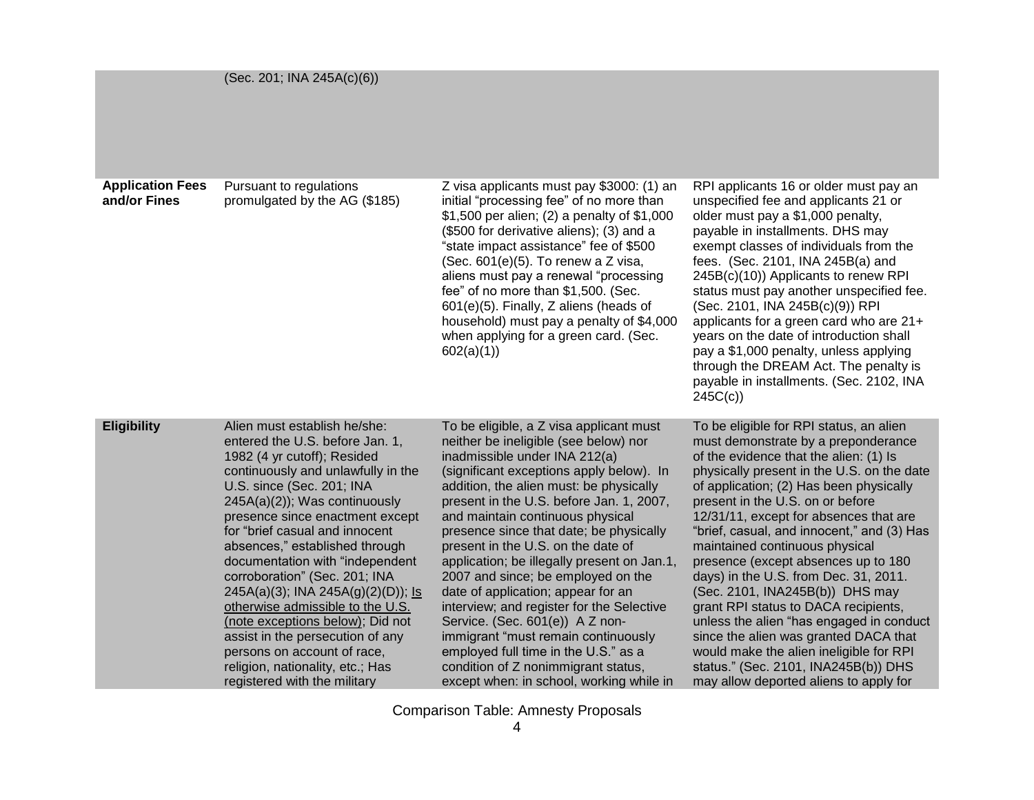|  |  |  | (Sec. 201; INA 245A(c)(6)) |  |
|--|--|--|----------------------------|--|
|--|--|--|----------------------------|--|

| <b>Application Fees</b><br>and/or Fines | Pursuant to regulations<br>promulgated by the AG (\$185)                                                                                                                                                                                                                                                                                                                                                                                                                                                                                                                                                                              | Z visa applicants must pay \$3000: (1) an<br>initial "processing fee" of no more than<br>\$1,500 per alien; (2) a penalty of \$1,000<br>(\$500 for derivative aliens); (3) and a<br>"state impact assistance" fee of \$500<br>(Sec. 601(e)(5). To renew a Z visa,<br>aliens must pay a renewal "processing<br>fee" of no more than \$1,500. (Sec.<br>601(e)(5). Finally, Z aliens (heads of<br>household) must pay a penalty of \$4,000<br>when applying for a green card. (Sec.<br>602(a)(1)                                                                                                                                                                                                                                                          | RPI applicants 16 or older must pay an<br>unspecified fee and applicants 21 or<br>older must pay a \$1,000 penalty,<br>payable in installments. DHS may<br>exempt classes of individuals from the<br>fees. (Sec. 2101, INA 245B(a) and<br>245B(c)(10)) Applicants to renew RPI<br>status must pay another unspecified fee.<br>(Sec. 2101, INA 245B(c)(9)) RPI<br>applicants for a green card who are 21+<br>years on the date of introduction shall<br>pay a \$1,000 penalty, unless applying<br>through the DREAM Act. The penalty is<br>payable in installments. (Sec. 2102, INA<br>245C(c)                                                                                                                                                                 |
|-----------------------------------------|---------------------------------------------------------------------------------------------------------------------------------------------------------------------------------------------------------------------------------------------------------------------------------------------------------------------------------------------------------------------------------------------------------------------------------------------------------------------------------------------------------------------------------------------------------------------------------------------------------------------------------------|--------------------------------------------------------------------------------------------------------------------------------------------------------------------------------------------------------------------------------------------------------------------------------------------------------------------------------------------------------------------------------------------------------------------------------------------------------------------------------------------------------------------------------------------------------------------------------------------------------------------------------------------------------------------------------------------------------------------------------------------------------|---------------------------------------------------------------------------------------------------------------------------------------------------------------------------------------------------------------------------------------------------------------------------------------------------------------------------------------------------------------------------------------------------------------------------------------------------------------------------------------------------------------------------------------------------------------------------------------------------------------------------------------------------------------------------------------------------------------------------------------------------------------|
| <b>Eligibility</b>                      | Alien must establish he/she:<br>entered the U.S. before Jan. 1,<br>1982 (4 yr cutoff); Resided<br>continuously and unlawfully in the<br>U.S. since (Sec. 201; INA<br>245A(a)(2)); Was continuously<br>presence since enactment except<br>for "brief casual and innocent<br>absences," established through<br>documentation with "independent<br>corroboration" (Sec. 201; INA<br>$245A(a)(3)$ ; INA 245A(g)(2)(D)); Is<br>otherwise admissible to the U.S.<br>(note exceptions below); Did not<br>assist in the persecution of any<br>persons on account of race,<br>religion, nationality, etc.; Has<br>registered with the military | To be eligible, a Z visa applicant must<br>neither be ineligible (see below) nor<br>inadmissible under INA 212(a)<br>(significant exceptions apply below). In<br>addition, the alien must: be physically<br>present in the U.S. before Jan. 1, 2007,<br>and maintain continuous physical<br>presence since that date; be physically<br>present in the U.S. on the date of<br>application; be illegally present on Jan.1,<br>2007 and since; be employed on the<br>date of application; appear for an<br>interview; and register for the Selective<br>Service. (Sec. 601(e)) A Z non-<br>immigrant "must remain continuously<br>employed full time in the U.S." as a<br>condition of Z nonimmigrant status,<br>except when: in school, working while in | To be eligible for RPI status, an alien<br>must demonstrate by a preponderance<br>of the evidence that the alien: (1) Is<br>physically present in the U.S. on the date<br>of application; (2) Has been physically<br>present in the U.S. on or before<br>12/31/11, except for absences that are<br>"brief, casual, and innocent," and (3) Has<br>maintained continuous physical<br>presence (except absences up to 180<br>days) in the U.S. from Dec. 31, 2011.<br>(Sec. 2101, INA245B(b)) DHS may<br>grant RPI status to DACA recipients,<br>unless the alien "has engaged in conduct"<br>since the alien was granted DACA that<br>would make the alien ineligible for RPI<br>status." (Sec. 2101, INA245B(b)) DHS<br>may allow deported aliens to apply for |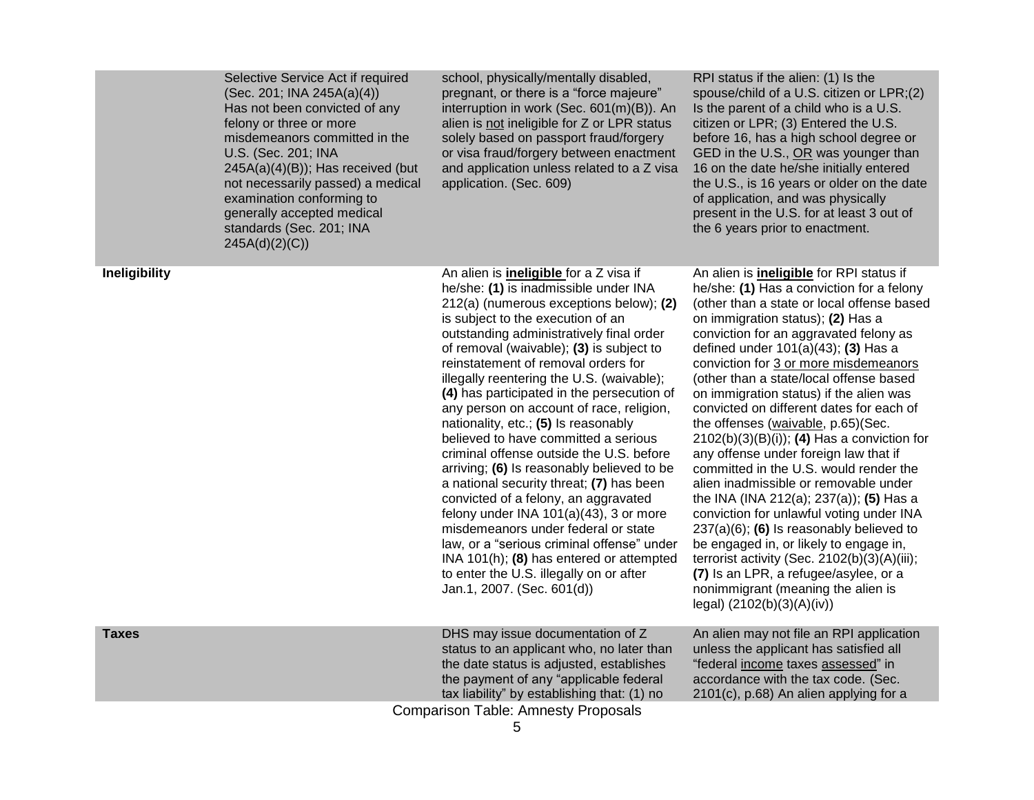| Selective Service Act if required<br>(Sec. 201; INA 245A(a)(4))<br>Has not been convicted of any<br>felony or three or more<br>misdemeanors committed in the<br>U.S. (Sec. 201; INA<br>$245A(a)(4)(B)$ ; Has received (but<br>not necessarily passed) a medical<br>examination conforming to<br>generally accepted medical<br>standards (Sec. 201; INA<br>245A(d)(2)(C)) | school, physically/mentally disabled,<br>pregnant, or there is a "force majeure"<br>interruption in work (Sec. 601(m)(B)). An<br>alien is not ineligible for Z or LPR status<br>solely based on passport fraud/forgery<br>or visa fraud/forgery between enactment<br>and application unless related to a Z visa<br>application. (Sec. 609)                                                                                                                                                                                                                                                                                                                                                                                                                                                                                                                                                                                                                        | RPI status if the alien: (1) Is the<br>spouse/child of a U.S. citizen or LPR;(2)<br>Is the parent of a child who is a U.S.<br>citizen or LPR; (3) Entered the U.S.<br>before 16, has a high school degree or<br>GED in the U.S., OR was younger than<br>16 on the date he/she initially entered<br>the U.S., is 16 years or older on the date<br>of application, and was physically<br>present in the U.S. for at least 3 out of<br>the 6 years prior to enactment.                                                                                                                                                                                                                                                                                                                                                                                                                                                                                                                                              |
|--------------------------------------------------------------------------------------------------------------------------------------------------------------------------------------------------------------------------------------------------------------------------------------------------------------------------------------------------------------------------|-------------------------------------------------------------------------------------------------------------------------------------------------------------------------------------------------------------------------------------------------------------------------------------------------------------------------------------------------------------------------------------------------------------------------------------------------------------------------------------------------------------------------------------------------------------------------------------------------------------------------------------------------------------------------------------------------------------------------------------------------------------------------------------------------------------------------------------------------------------------------------------------------------------------------------------------------------------------|------------------------------------------------------------------------------------------------------------------------------------------------------------------------------------------------------------------------------------------------------------------------------------------------------------------------------------------------------------------------------------------------------------------------------------------------------------------------------------------------------------------------------------------------------------------------------------------------------------------------------------------------------------------------------------------------------------------------------------------------------------------------------------------------------------------------------------------------------------------------------------------------------------------------------------------------------------------------------------------------------------------|
| Ineligibility                                                                                                                                                                                                                                                                                                                                                            | An alien is <i>ineligible</i> for a Z visa if<br>he/she: (1) is inadmissible under INA<br>212(a) (numerous exceptions below); (2)<br>is subject to the execution of an<br>outstanding administratively final order<br>of removal (waivable); (3) is subject to<br>reinstatement of removal orders for<br>illegally reentering the U.S. (waivable);<br>(4) has participated in the persecution of<br>any person on account of race, religion,<br>nationality, etc.; (5) Is reasonably<br>believed to have committed a serious<br>criminal offense outside the U.S. before<br>arriving; (6) Is reasonably believed to be<br>a national security threat; (7) has been<br>convicted of a felony, an aggravated<br>felony under INA $101(a)(43)$ , 3 or more<br>misdemeanors under federal or state<br>law, or a "serious criminal offense" under<br>INA 101(h); (8) has entered or attempted<br>to enter the U.S. illegally on or after<br>Jan.1, 2007. (Sec. 601(d)) | An alien is <i>ineligible</i> for RPI status if<br>he/she: (1) Has a conviction for a felony<br>(other than a state or local offense based<br>on immigration status); (2) Has a<br>conviction for an aggravated felony as<br>defined under $101(a)(43)$ ; (3) Has a<br>conviction for 3 or more misdemeanors<br>(other than a state/local offense based<br>on immigration status) if the alien was<br>convicted on different dates for each of<br>the offenses (waivable, p.65)(Sec.<br>$2102(b)(3)(B)(i)$ ; (4) Has a conviction for<br>any offense under foreign law that if<br>committed in the U.S. would render the<br>alien inadmissible or removable under<br>the INA (INA 212(a); 237(a)); (5) Has a<br>conviction for unlawful voting under INA<br>$237(a)(6)$ ; (6) Is reasonably believed to<br>be engaged in, or likely to engage in,<br>terrorist activity (Sec. 2102(b)(3)(A)(iii);<br>(7) Is an LPR, a refugee/asylee, or a<br>nonimmigrant (meaning the alien is<br>legal) $(2102(b)(3)(A)(iv))$ |
| Taxes                                                                                                                                                                                                                                                                                                                                                                    | DHS may issue documentation of Z<br>status to an applicant who, no later than<br>the date status is adjusted, establishes<br>the payment of any "applicable federal                                                                                                                                                                                                                                                                                                                                                                                                                                                                                                                                                                                                                                                                                                                                                                                               | An alien may not file an RPI application<br>unless the applicant has satisfied all<br>"federal income taxes assessed" in<br>accordance with the tax code. (Sec.                                                                                                                                                                                                                                                                                                                                                                                                                                                                                                                                                                                                                                                                                                                                                                                                                                                  |
|                                                                                                                                                                                                                                                                                                                                                                          | tax liability" by establishing that: (1) no<br><b>Comparison Table: Amnesty Proposals</b>                                                                                                                                                                                                                                                                                                                                                                                                                                                                                                                                                                                                                                                                                                                                                                                                                                                                         | 2101(c), p.68) An alien applying for a                                                                                                                                                                                                                                                                                                                                                                                                                                                                                                                                                                                                                                                                                                                                                                                                                                                                                                                                                                           |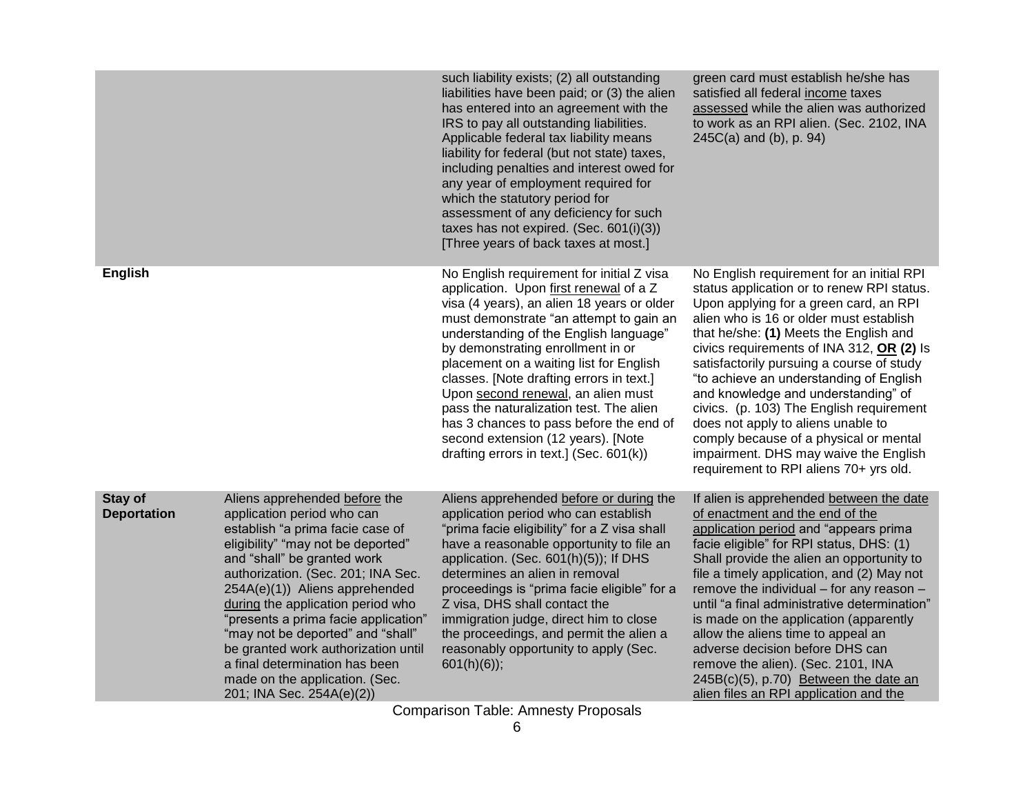|                                      |                                                                                                                                                                                                                                                                                                                                                                                                                                                                                                        | such liability exists; (2) all outstanding<br>liabilities have been paid; or (3) the alien<br>has entered into an agreement with the<br>IRS to pay all outstanding liabilities.<br>Applicable federal tax liability means<br>liability for federal (but not state) taxes,<br>including penalties and interest owed for<br>any year of employment required for<br>which the statutory period for<br>assessment of any deficiency for such<br>taxes has not expired. (Sec. $601(i)(3)$ )<br>[Three years of back taxes at most.]                                  | green card must establish he/she has<br>satisfied all federal income taxes<br>assessed while the alien was authorized<br>to work as an RPI alien. (Sec. 2102, INA<br>$245C(a)$ and (b), p. 94)                                                                                                                                                                                                                                                                                                                                                                                                                    |
|--------------------------------------|--------------------------------------------------------------------------------------------------------------------------------------------------------------------------------------------------------------------------------------------------------------------------------------------------------------------------------------------------------------------------------------------------------------------------------------------------------------------------------------------------------|-----------------------------------------------------------------------------------------------------------------------------------------------------------------------------------------------------------------------------------------------------------------------------------------------------------------------------------------------------------------------------------------------------------------------------------------------------------------------------------------------------------------------------------------------------------------|-------------------------------------------------------------------------------------------------------------------------------------------------------------------------------------------------------------------------------------------------------------------------------------------------------------------------------------------------------------------------------------------------------------------------------------------------------------------------------------------------------------------------------------------------------------------------------------------------------------------|
| <b>English</b>                       |                                                                                                                                                                                                                                                                                                                                                                                                                                                                                                        | No English requirement for initial Z visa<br>application. Upon first renewal of a Z<br>visa (4 years), an alien 18 years or older<br>must demonstrate "an attempt to gain an<br>understanding of the English language"<br>by demonstrating enrollment in or<br>placement on a waiting list for English<br>classes. [Note drafting errors in text.]<br>Upon second renewal, an alien must<br>pass the naturalization test. The alien<br>has 3 chances to pass before the end of<br>second extension (12 years). [Note<br>drafting errors in text.] (Sec. 601(k)) | No English requirement for an initial RPI<br>status application or to renew RPI status.<br>Upon applying for a green card, an RPI<br>alien who is 16 or older must establish<br>that he/she: (1) Meets the English and<br>civics requirements of INA 312, OR (2) Is<br>satisfactorily pursuing a course of study<br>"to achieve an understanding of English<br>and knowledge and understanding" of<br>civics. (p. 103) The English requirement<br>does not apply to aliens unable to<br>comply because of a physical or mental<br>impairment. DHS may waive the English<br>requirement to RPI aliens 70+ yrs old. |
| <b>Stay of</b><br><b>Deportation</b> | Aliens apprehended before the<br>application period who can<br>establish "a prima facie case of<br>eligibility" "may not be deported"<br>and "shall" be granted work<br>authorization. (Sec. 201; INA Sec.<br>254A(e)(1)) Aliens apprehended<br>during the application period who<br>"presents a prima facie application"<br>"may not be deported" and "shall"<br>be granted work authorization until<br>a final determination has been<br>made on the application. (Sec.<br>201; INA Sec. 254A(e)(2)) | Aliens apprehended before or during the<br>application period who can establish<br>"prima facie eligibility" for a Z visa shall<br>have a reasonable opportunity to file an<br>application. (Sec. 601(h)(5)); If DHS<br>determines an alien in removal<br>proceedings is "prima facie eligible" for a<br>Z visa, DHS shall contact the<br>immigration judge, direct him to close<br>the proceedings, and permit the alien a<br>reasonably opportunity to apply (Sec.<br>$601(h)(6)$ ;                                                                           | If alien is apprehended between the date<br>of enactment and the end of the<br>application period and "appears prima<br>facie eligible" for RPI status, DHS: (1)<br>Shall provide the alien an opportunity to<br>file a timely application, and (2) May not<br>remove the individual - for any reason -<br>until "a final administrative determination"<br>is made on the application (apparently<br>allow the aliens time to appeal an<br>adverse decision before DHS can<br>remove the alien). (Sec. 2101, INA<br>245B(c)(5), p.70) Between the date an<br>alien files an RPI application and the               |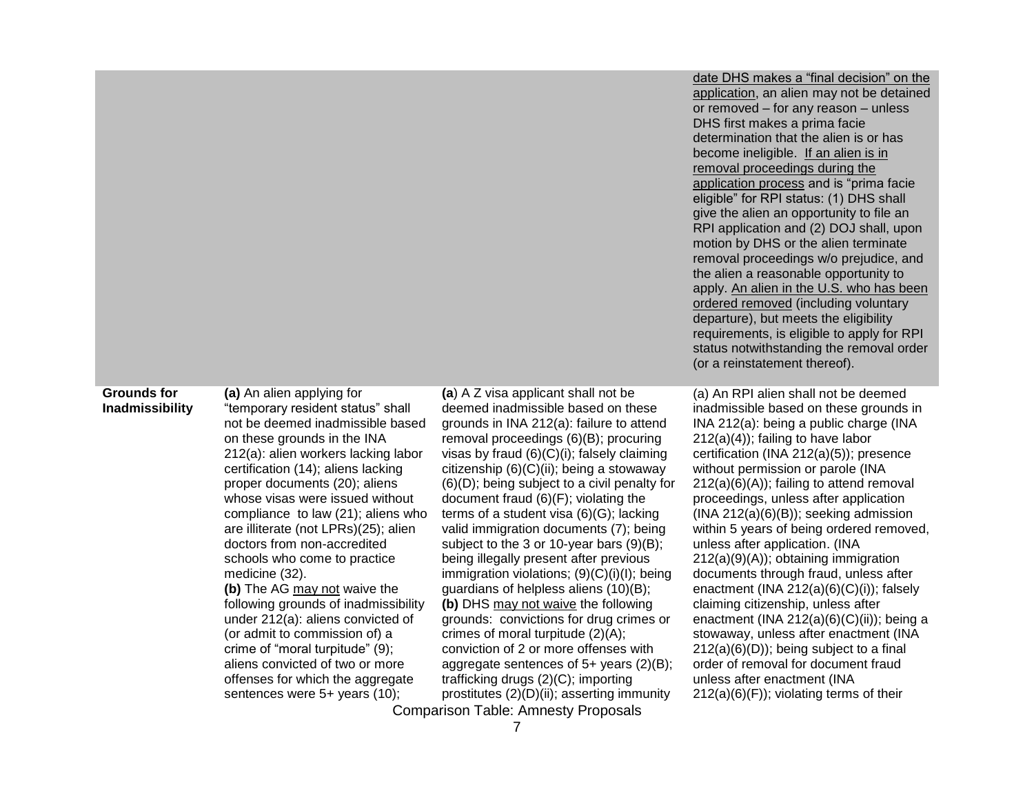| date DHS makes a "final decision" on the   |
|--------------------------------------------|
| application, an alien may not be detained  |
| or removed - for any reason - unless       |
| DHS first makes a prima facie              |
| determination that the alien is or has     |
| become ineligible. If an alien is in       |
| removal proceedings during the             |
| application process and is "prima facie    |
| eligible" for RPI status: (1) DHS shall    |
| give the alien an opportunity to file an   |
| RPI application and (2) DOJ shall, upon    |
| motion by DHS or the alien terminate       |
| removal proceedings w/o prejudice, and     |
| the alien a reasonable opportunity to      |
| apply. An alien in the U.S. who has been   |
| ordered removed (including voluntary       |
| departure), but meets the eligibility      |
| requirements, is eligible to apply for RPI |
| status notwithstanding the removal order   |
| (or a reinstatement thereof).              |

### **Grounds for Inadmissibility**

**(a)** An alien applying for "temporary resident status" shall not be deemed inadmissible based on these grounds in the INA 212(a): alien workers lacking labor certification (14); aliens lacking proper documents (20); aliens whose visas were issued without compliance to law (21); aliens who are illiterate (not LPRs)(25); alien doctors from non-accredited schools who come to practice medicine (32).

**(b)** The AG may not waive the following grounds of inadmissibility under 212(a): aliens convicted of (or admit to commission of) a crime of "moral turpitude" (9); aliens convicted of two or more offenses for which the aggregate sentences were 5+ years (10);

Comparison Table: Amnesty Proposals **(a**) A Z visa applicant shall not be deemed inadmissible based on these grounds in INA 212(a): failure to attend removal proceedings (6)(B); procuring visas by fraud (6)(C)(i); falsely claiming citizenship (6)(C)(ii); being a stowaway (6)(D); being subject to a civil penalty for document fraud (6)(F); violating the terms of a student visa (6)(G); lacking valid immigration documents (7); being subject to the 3 or 10-year bars (9)(B); being illegally present after previous immigration violations; (9)(C)(i)(I); being guardians of helpless aliens (10)(B); **(b)** DHS may not waive the following grounds: convictions for drug crimes or crimes of moral turpitude (2)(A); conviction of 2 or more offenses with aggregate sentences of 5+ years (2)(B); trafficking drugs (2)(C); importing prostitutes (2)(D)(ii); asserting immunity

(a) An RPI alien shall not be deemed inadmissible based on these grounds in INA 212(a): being a public charge (INA 212(a)(4)); failing to have labor certification (INA 212(a)(5)); presence without permission or parole (INA 212(a)(6)(A)); failing to attend removal proceedings, unless after application (INA 212(a)(6)(B)); seeking admission within 5 years of being ordered removed, unless after application. (INA 212(a)(9)(A)); obtaining immigration documents through fraud, unless after enactment (INA 212(a)(6)(C)(i)); falsely claiming citizenship, unless after enactment (INA 212(a)(6)(C)(ii)); being a stowaway, unless after enactment (INA 212(a)(6)(D)); being subject to a final order of removal for document fraud unless after enactment (INA  $212(a)(6)(F)$ ; violating terms of their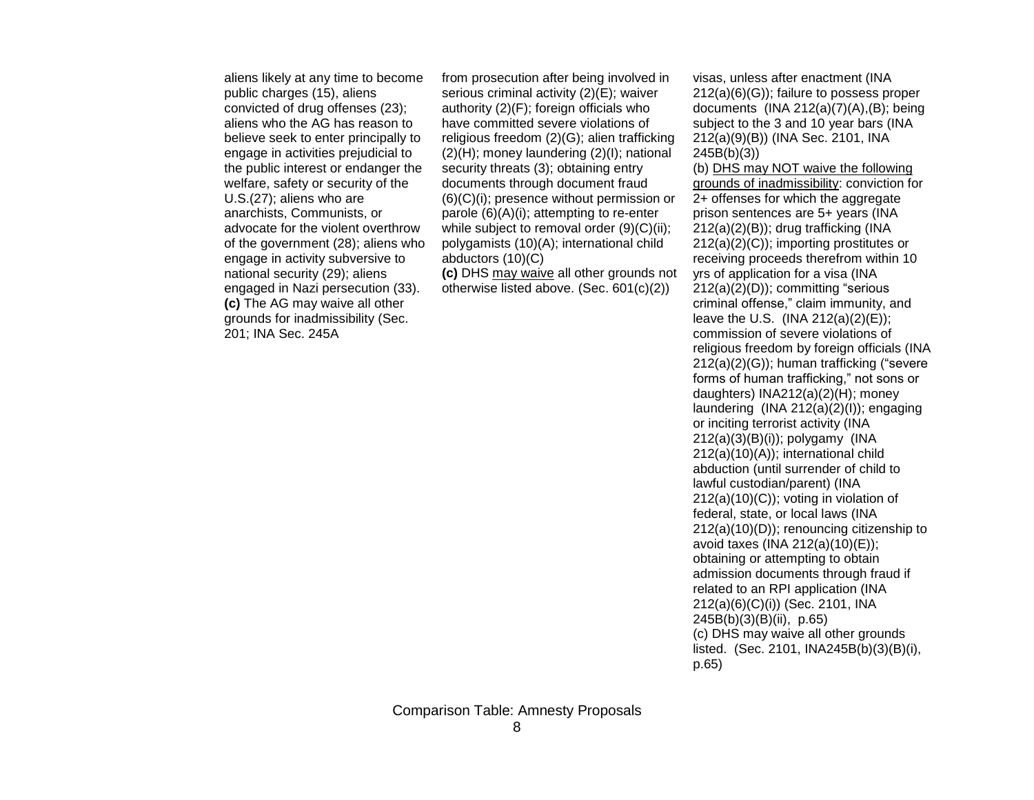aliens likely at any time to become public charges (15), aliens convicted of drug offenses (23); aliens who the AG has reason to believe seek to enter principally to engage in activities prejudicial to the public interest or endanger the welfare, safety or security of the U.S.(27); aliens who are anarchists, Communists, or advocate for the violent overthrow of the government (28); aliens who engage in activity subversive to national security (29); aliens engaged in Nazi persecution (33). **(c)** The AG may waive all other grounds for inadmissibility (Sec. 201; INA Sec. 245A

from prosecution after being involved in serious criminal activity (2)(E); waiver authority (2)(F); foreign officials who have committed severe violations of religious freedom (2)(G); alien trafficking (2)(H); money laundering (2)(I); national security threats (3); obtaining entry documents through document fraud (6)(C)(i); presence without permission or parole (6)(A)(i); attempting to re-enter while subject to removal order (9)(C)(ii); polygamists (10)(A); international child abductors (10)(C)

**(c)** DHS may waive all other grounds not otherwise listed above. (Sec. 601(c)(2))

visas, unless after enactment (INA 212(a)(6)(G)); failure to possess proper documents  $(INA 212(a)(7)(A), (B)$ ; being subject to the 3 and 10 year bars (INA 212(a)(9)(B)) (INA Sec. 2101, INA 245B(b)(3))

(b) DHS may NOT waive the following grounds of inadmissibility: conviction for 2+ offenses for which the aggregate prison sentences are 5+ years (INA 212(a)(2)(B)); drug trafficking (INA 212(a)(2)(C)); importing prostitutes or receiving proceeds therefrom within 10 yrs of application for a visa (INA 212(a)(2)(D)); committing "serious criminal offense," claim immunity, and leave the U.S.  $(INA 212(a)(2)(E));$ commission of severe violations of religious freedom by foreign officials (INA 212(a)(2)(G)); human trafficking ("severe forms of human trafficking," not sons or daughters) INA212(a)(2)(H); money laundering (INA 212(a)(2)(I)); engaging or inciting terrorist activity (INA 212(a)(3)(B)(i)); polygamy (INA 212(a)(10)(A)); international child abduction (until surrender of child to lawful custodian/parent) (INA  $212(a)(10)(C)$ ; voting in violation of federal, state, or local laws (INA 212(a)(10)(D)); renouncing citizenship to avoid taxes (INA 212(a)(10)(E)); obtaining or attempting to obtain admission documents through fraud if related to an RPI application (INA 212(a)(6)(C)(i)) (Sec. 2101, INA 245B(b)(3)(B)(ii), p.65) (c) DHS may waive all other grounds listed. (Sec. 2101, INA245B(b)(3)(B)(i), p.65)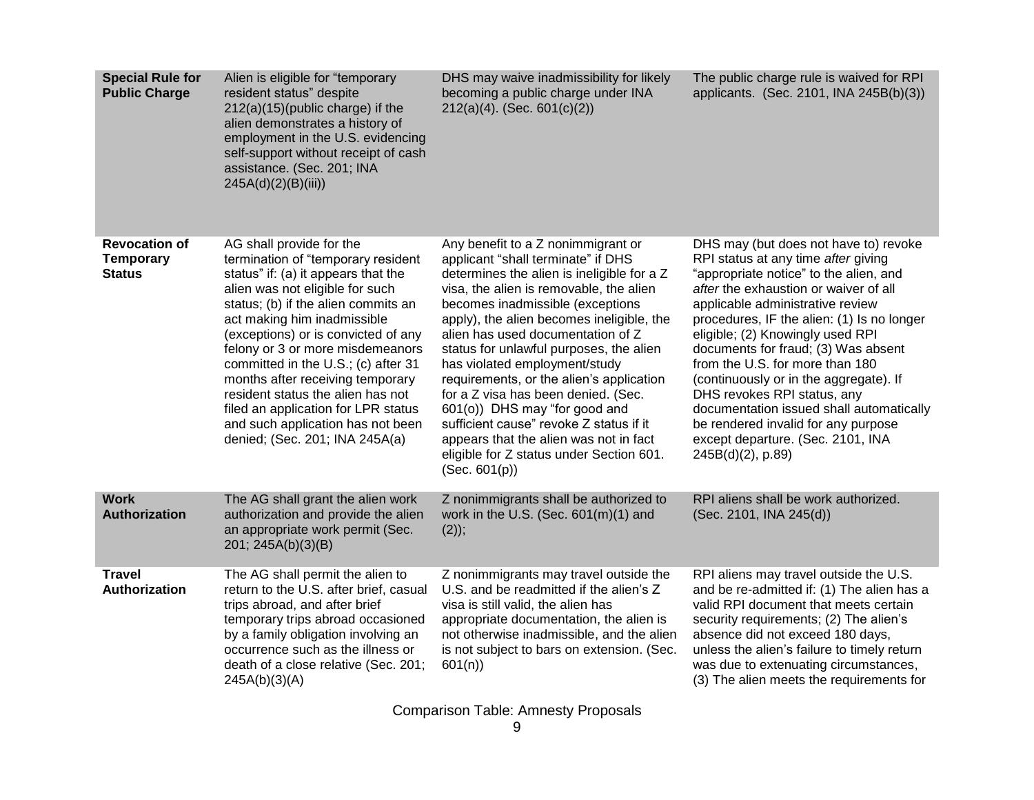| <b>Special Rule for</b><br><b>Public Charge</b>           | Alien is eligible for "temporary<br>resident status" despite<br>$212(a)(15)$ (public charge) if the<br>alien demonstrates a history of<br>employment in the U.S. evidencing<br>self-support without receipt of cash<br>assistance. (Sec. 201; INA<br>245A(d)(2)(B(iii))                                                                                                                                                                                                                                                 | DHS may waive inadmissibility for likely<br>becoming a public charge under INA<br>$212(a)(4)$ . (Sec. 601(c)(2))                                                                                                                                                                                                                                                                                                                                                                                                                                                                                                                          | The public charge rule is waived for RPI<br>applicants. (Sec. 2101, INA 245B(b)(3))                                                                                                                                                                                                                                                                                                                                                                                                                                                                                                   |
|-----------------------------------------------------------|-------------------------------------------------------------------------------------------------------------------------------------------------------------------------------------------------------------------------------------------------------------------------------------------------------------------------------------------------------------------------------------------------------------------------------------------------------------------------------------------------------------------------|-------------------------------------------------------------------------------------------------------------------------------------------------------------------------------------------------------------------------------------------------------------------------------------------------------------------------------------------------------------------------------------------------------------------------------------------------------------------------------------------------------------------------------------------------------------------------------------------------------------------------------------------|---------------------------------------------------------------------------------------------------------------------------------------------------------------------------------------------------------------------------------------------------------------------------------------------------------------------------------------------------------------------------------------------------------------------------------------------------------------------------------------------------------------------------------------------------------------------------------------|
| <b>Revocation of</b><br><b>Temporary</b><br><b>Status</b> | AG shall provide for the<br>termination of "temporary resident<br>status" if: (a) it appears that the<br>alien was not eligible for such<br>status; (b) if the alien commits an<br>act making him inadmissible<br>(exceptions) or is convicted of any<br>felony or 3 or more misdemeanors<br>committed in the U.S.; (c) after 31<br>months after receiving temporary<br>resident status the alien has not<br>filed an application for LPR status<br>and such application has not been<br>denied; (Sec. 201; INA 245A(a) | Any benefit to a Z nonimmigrant or<br>applicant "shall terminate" if DHS<br>determines the alien is ineligible for a Z<br>visa, the alien is removable, the alien<br>becomes inadmissible (exceptions<br>apply), the alien becomes ineligible, the<br>alien has used documentation of Z<br>status for unlawful purposes, the alien<br>has violated employment/study<br>requirements, or the alien's application<br>for a Z visa has been denied. (Sec.<br>601(o)) DHS may "for good and<br>sufficient cause" revoke Z status if it<br>appears that the alien was not in fact<br>eligible for Z status under Section 601.<br>(Sec. 601(p)) | DHS may (but does not have to) revoke<br>RPI status at any time after giving<br>"appropriate notice" to the alien, and<br>after the exhaustion or waiver of all<br>applicable administrative review<br>procedures, IF the alien: (1) Is no longer<br>eligible; (2) Knowingly used RPI<br>documents for fraud; (3) Was absent<br>from the U.S. for more than 180<br>(continuously or in the aggregate). If<br>DHS revokes RPI status, any<br>documentation issued shall automatically<br>be rendered invalid for any purpose<br>except departure. (Sec. 2101, INA<br>245B(d)(2), p.89) |
| <b>Work</b><br>Authorization                              | The AG shall grant the alien work<br>authorization and provide the alien<br>an appropriate work permit (Sec.<br>201; 245A(b)(3)(B)                                                                                                                                                                                                                                                                                                                                                                                      | Z nonimmigrants shall be authorized to<br>work in the U.S. (Sec. $601(m)(1)$ and<br>$(2)$ ;                                                                                                                                                                                                                                                                                                                                                                                                                                                                                                                                               | RPI aliens shall be work authorized.<br>(Sec. 2101, INA 245(d))                                                                                                                                                                                                                                                                                                                                                                                                                                                                                                                       |
| <b>Travel</b><br>Authorization                            | The AG shall permit the alien to<br>return to the U.S. after brief, casual<br>trips abroad, and after brief<br>temporary trips abroad occasioned<br>by a family obligation involving an<br>occurrence such as the illness or<br>death of a close relative (Sec. 201;<br>245A(b)(3)(A)                                                                                                                                                                                                                                   | Z nonimmigrants may travel outside the<br>U.S. and be readmitted if the alien's Z<br>visa is still valid, the alien has<br>appropriate documentation, the alien is<br>not otherwise inadmissible, and the alien<br>is not subject to bars on extension. (Sec.<br>601(n)                                                                                                                                                                                                                                                                                                                                                                   | RPI aliens may travel outside the U.S.<br>and be re-admitted if: (1) The alien has a<br>valid RPI document that meets certain<br>security requirements; (2) The alien's<br>absence did not exceed 180 days,<br>unless the alien's failure to timely return<br>was due to extenuating circumstances,<br>(3) The alien meets the requirements for                                                                                                                                                                                                                                       |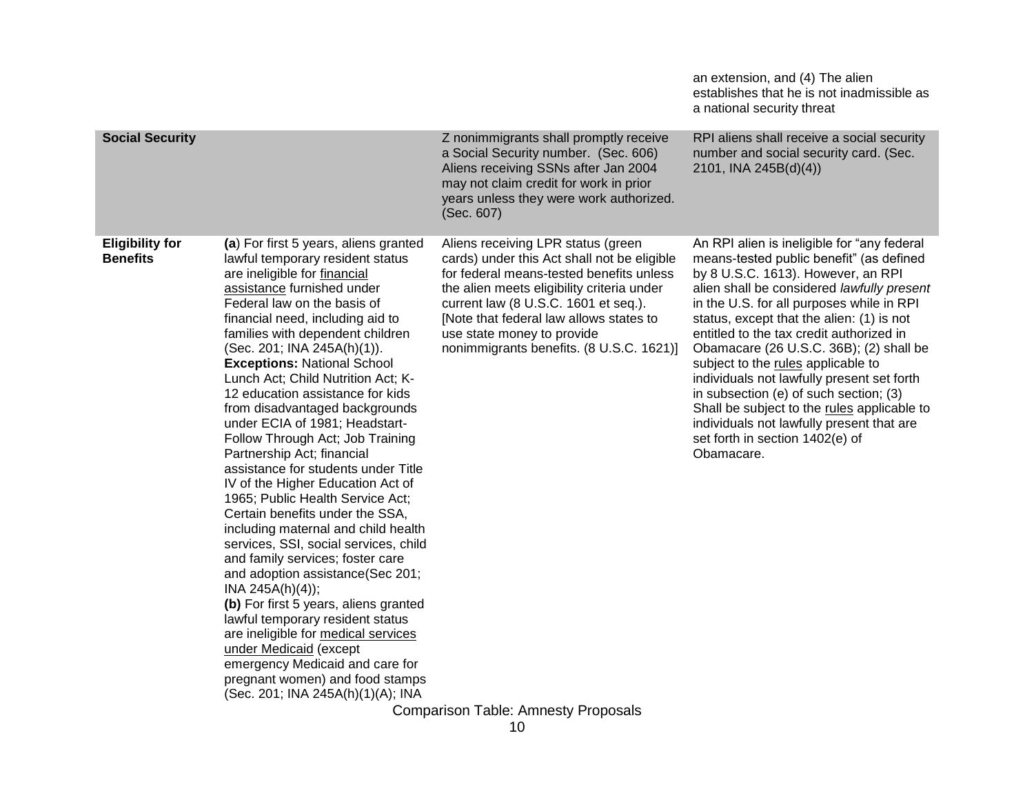|                                           |                                                                                                                                                                                                                                                                                                                                                                                                                                                                                                                                                                                                                                                                                                                                                                                                                                                                                                                                                                                                                                                                                                                            |                                                                                                                                                                                                                                                                                                                                          | an extension, and (4) The alien<br>establishes that he is not inadmissible as<br>a national security threat                                                                                                                                                                                                                                                                                                                                                                                                                                                                                                                             |
|-------------------------------------------|----------------------------------------------------------------------------------------------------------------------------------------------------------------------------------------------------------------------------------------------------------------------------------------------------------------------------------------------------------------------------------------------------------------------------------------------------------------------------------------------------------------------------------------------------------------------------------------------------------------------------------------------------------------------------------------------------------------------------------------------------------------------------------------------------------------------------------------------------------------------------------------------------------------------------------------------------------------------------------------------------------------------------------------------------------------------------------------------------------------------------|------------------------------------------------------------------------------------------------------------------------------------------------------------------------------------------------------------------------------------------------------------------------------------------------------------------------------------------|-----------------------------------------------------------------------------------------------------------------------------------------------------------------------------------------------------------------------------------------------------------------------------------------------------------------------------------------------------------------------------------------------------------------------------------------------------------------------------------------------------------------------------------------------------------------------------------------------------------------------------------------|
| <b>Social Security</b>                    |                                                                                                                                                                                                                                                                                                                                                                                                                                                                                                                                                                                                                                                                                                                                                                                                                                                                                                                                                                                                                                                                                                                            | Z nonimmigrants shall promptly receive<br>a Social Security number. (Sec. 606)<br>Aliens receiving SSNs after Jan 2004<br>may not claim credit for work in prior<br>years unless they were work authorized.<br>(Sec. 607)                                                                                                                | RPI aliens shall receive a social security<br>number and social security card. (Sec.<br>2101, INA 245B(d)(4))                                                                                                                                                                                                                                                                                                                                                                                                                                                                                                                           |
| <b>Eligibility for</b><br><b>Benefits</b> | (a) For first 5 years, aliens granted<br>lawful temporary resident status<br>are ineligible for financial<br>assistance furnished under<br>Federal law on the basis of<br>financial need, including aid to<br>families with dependent children<br>(Sec. 201; INA 245A(h)(1)).<br><b>Exceptions: National School</b><br>Lunch Act; Child Nutrition Act; K-<br>12 education assistance for kids<br>from disadvantaged backgrounds<br>under ECIA of 1981; Headstart-<br>Follow Through Act; Job Training<br>Partnership Act; financial<br>assistance for students under Title<br>IV of the Higher Education Act of<br>1965; Public Health Service Act;<br>Certain benefits under the SSA,<br>including maternal and child health<br>services, SSI, social services, child<br>and family services; foster care<br>and adoption assistance(Sec 201;<br>INA 245A(h)(4);<br>(b) For first 5 years, aliens granted<br>lawful temporary resident status<br>are ineligible for medical services<br>under Medicaid (except<br>emergency Medicaid and care for<br>pregnant women) and food stamps<br>(Sec. 201; INA 245A(h)(1)(A); INA | Aliens receiving LPR status (green<br>cards) under this Act shall not be eligible<br>for federal means-tested benefits unless<br>the alien meets eligibility criteria under<br>current law (8 U.S.C. 1601 et seq.).<br>[Note that federal law allows states to<br>use state money to provide<br>nonimmigrants benefits. (8 U.S.C. 1621)] | An RPI alien is ineligible for "any federal<br>means-tested public benefit" (as defined<br>by 8 U.S.C. 1613). However, an RPI<br>alien shall be considered lawfully present<br>in the U.S. for all purposes while in RPI<br>status, except that the alien: (1) is not<br>entitled to the tax credit authorized in<br>Obamacare (26 U.S.C. 36B); (2) shall be<br>subject to the rules applicable to<br>individuals not lawfully present set forth<br>in subsection (e) of such section; (3)<br>Shall be subject to the rules applicable to<br>individuals not lawfully present that are<br>set forth in section 1402(e) of<br>Obamacare. |
|                                           |                                                                                                                                                                                                                                                                                                                                                                                                                                                                                                                                                                                                                                                                                                                                                                                                                                                                                                                                                                                                                                                                                                                            | <b>Comparison Table: Amnesty Proposals</b><br>10                                                                                                                                                                                                                                                                                         |                                                                                                                                                                                                                                                                                                                                                                                                                                                                                                                                                                                                                                         |
|                                           |                                                                                                                                                                                                                                                                                                                                                                                                                                                                                                                                                                                                                                                                                                                                                                                                                                                                                                                                                                                                                                                                                                                            |                                                                                                                                                                                                                                                                                                                                          |                                                                                                                                                                                                                                                                                                                                                                                                                                                                                                                                                                                                                                         |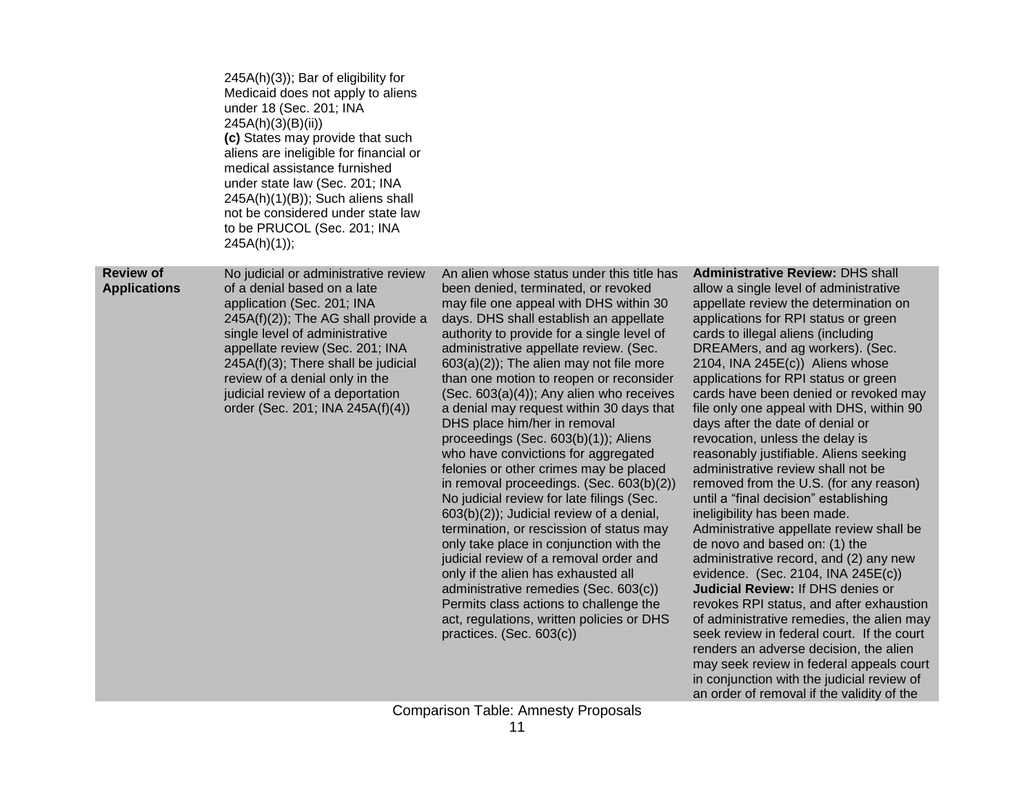|                                         | 245A(h)(3)); Bar of eligibility for<br>Medicaid does not apply to aliens<br>under 18 (Sec. 201; INA<br>245A(h)(3)(B)(ii)<br>(c) States may provide that such<br>aliens are ineligible for financial or<br>medical assistance furnished<br>under state law (Sec. 201; INA<br>245A(h)(1)(B)); Such aliens shall<br>not be considered under state law<br>to be PRUCOL (Sec. 201; INA<br>245A(h)(1); |                                                                                                                                                                                                                                                                                                                                                                                                                                                                                                                                                                                                                                                                                                                                                                                                                                                                                                                                                                                                                                                                                      |                                                                                                                                                                                                                                                                                                                                                                                                                                                                                                                                                                                                                                                                                                                                                                                                                                                                                                                                                                                                                                                                                                                                                                                                                       |
|-----------------------------------------|--------------------------------------------------------------------------------------------------------------------------------------------------------------------------------------------------------------------------------------------------------------------------------------------------------------------------------------------------------------------------------------------------|--------------------------------------------------------------------------------------------------------------------------------------------------------------------------------------------------------------------------------------------------------------------------------------------------------------------------------------------------------------------------------------------------------------------------------------------------------------------------------------------------------------------------------------------------------------------------------------------------------------------------------------------------------------------------------------------------------------------------------------------------------------------------------------------------------------------------------------------------------------------------------------------------------------------------------------------------------------------------------------------------------------------------------------------------------------------------------------|-----------------------------------------------------------------------------------------------------------------------------------------------------------------------------------------------------------------------------------------------------------------------------------------------------------------------------------------------------------------------------------------------------------------------------------------------------------------------------------------------------------------------------------------------------------------------------------------------------------------------------------------------------------------------------------------------------------------------------------------------------------------------------------------------------------------------------------------------------------------------------------------------------------------------------------------------------------------------------------------------------------------------------------------------------------------------------------------------------------------------------------------------------------------------------------------------------------------------|
| <b>Review of</b><br><b>Applications</b> | No judicial or administrative review<br>of a denial based on a late<br>application (Sec. 201; INA<br>$245A(f)(2)$ ; The AG shall provide a<br>single level of administrative<br>appellate review (Sec. 201; INA<br>245A(f)(3); There shall be judicial<br>review of a denial only in the<br>judicial review of a deportation<br>order (Sec. 201; INA 245A(f)(4))                                 | An alien whose status under this title has<br>been denied, terminated, or revoked<br>may file one appeal with DHS within 30<br>days. DHS shall establish an appellate<br>authority to provide for a single level of<br>administrative appellate review. (Sec.<br>$603(a)(2)$ ; The alien may not file more<br>than one motion to reopen or reconsider<br>$(Sec. 603(a)(4))$ ; Any alien who receives<br>a denial may request within 30 days that<br>DHS place him/her in removal<br>proceedings (Sec. 603(b)(1)); Aliens<br>who have convictions for aggregated<br>felonies or other crimes may be placed<br>in removal proceedings. (Sec. 603(b)(2))<br>No judicial review for late filings (Sec.<br>$603(b)(2)$ ; Judicial review of a denial,<br>termination, or rescission of status may<br>only take place in conjunction with the<br>judicial review of a removal order and<br>only if the alien has exhausted all<br>administrative remedies (Sec. 603(c))<br>Permits class actions to challenge the<br>act, regulations, written policies or DHS<br>practices. (Sec. 603(c)) | <b>Administrative Review: DHS shall</b><br>allow a single level of administrative<br>appellate review the determination on<br>applications for RPI status or green<br>cards to illegal aliens (including<br>DREAMers, and ag workers). (Sec.<br>2104, INA 245 $E(c)$ ) Aliens whose<br>applications for RPI status or green<br>cards have been denied or revoked may<br>file only one appeal with DHS, within 90<br>days after the date of denial or<br>revocation, unless the delay is<br>reasonably justifiable. Aliens seeking<br>administrative review shall not be<br>removed from the U.S. (for any reason)<br>until a "final decision" establishing<br>ineligibility has been made.<br>Administrative appellate review shall be<br>de novo and based on: (1) the<br>administrative record, and (2) any new<br>evidence. (Sec. 2104, INA 245E(c))<br>Judicial Review: If DHS denies or<br>revokes RPI status, and after exhaustion<br>of administrative remedies, the alien may<br>seek review in federal court. If the court<br>renders an adverse decision, the alien<br>may seek review in federal appeals court<br>in conjunction with the judicial review of<br>an order of removal if the validity of the |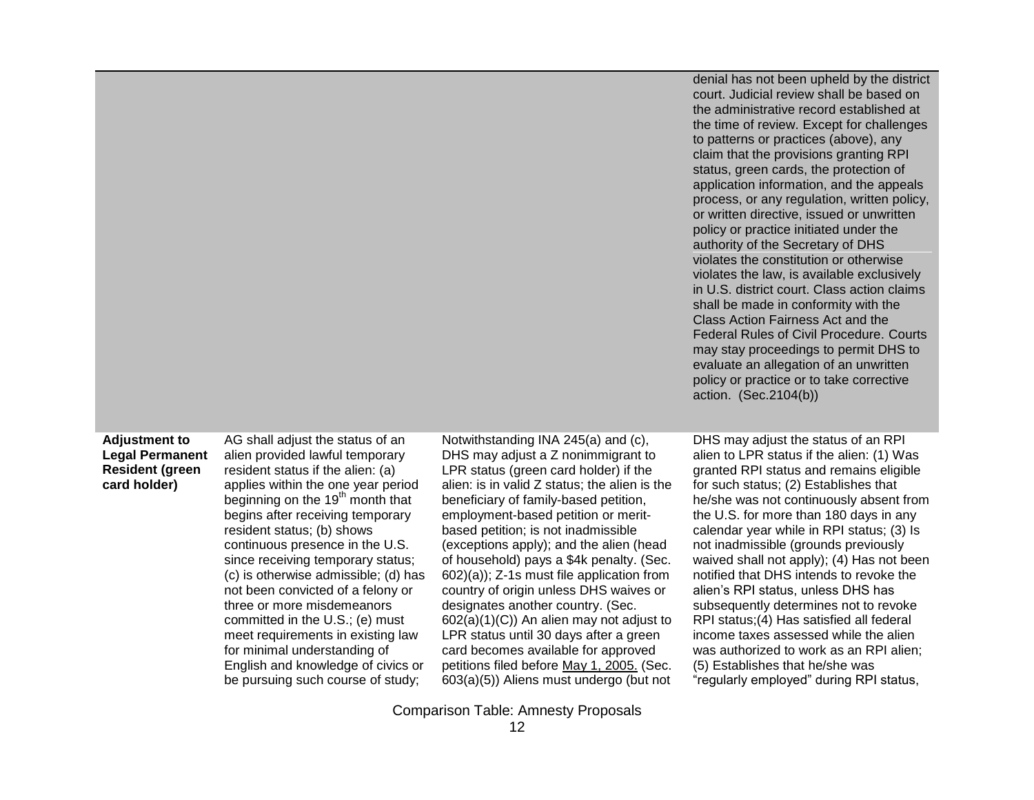denial has not been upheld by the district court. Judicial review shall be based on the administrative record established at the time of review. Except for challenges to patterns or practices (above), any claim that the provisions granting RPI status, green cards, the protection of application information, and the appeals process, or any regulation, written policy, or written directive, issued or unwritten policy or practice initiated under the authority of the Secretary of DHS violates the constitution or otherwise violates the law, is available exclusively in U.S. district court. Class action claims shall be made in conformity with the Class Action Fairness Act and the Federal Rules of Civil Procedure. Courts may stay proceedings to permit DHS to evaluate an allegation of an unwritten policy or practice or to take corrective action. (Sec.2104(b))

# **Adjustment to Legal Permanent Resident (green card holder)**

AG shall adjust the status of an alien provided lawful temporary resident status if the alien: (a) applies within the one year period beginning on the  $19<sup>th</sup>$  month that begins after receiving temporary resident status; (b) shows continuous presence in the U.S. since receiving temporary status; (c) is otherwise admissible; (d) has not been convicted of a felony or three or more misdemeanors committed in the U.S.; (e) must meet requirements in existing law for minimal understanding of English and knowledge of civics or be pursuing such course of study;

Notwithstanding INA 245(a) and (c), DHS may adjust a Z nonimmigrant to LPR status (green card holder) if the alien: is in valid Z status; the alien is the beneficiary of family-based petition, employment-based petition or meritbased petition; is not inadmissible (exceptions apply); and the alien (head of household) pays a \$4k penalty. (Sec. 602)(a)); Z-1s must file application from country of origin unless DHS waives or designates another country. (Sec. 602(a)(1)(C)) An alien may not adjust to LPR status until 30 days after a green card becomes available for approved petitions filed before May 1, 2005. (Sec. 603(a)(5)) Aliens must undergo (but not DHS may adjust the status of an RPI alien to LPR status if the alien: (1) Was granted RPI status and remains eligible for such status; (2) Establishes that he/she was not continuously absent from the U.S. for more than 180 days in any calendar year while in RPI status; (3) Is not inadmissible (grounds previously waived shall not apply); (4) Has not been notified that DHS intends to revoke the alien's RPI status, unless DHS has subsequently determines not to revoke RPI status;(4) Has satisfied all federal income taxes assessed while the alien was authorized to work as an RPI alien; (5) Establishes that he/she was "regularly employed" during RPI status,